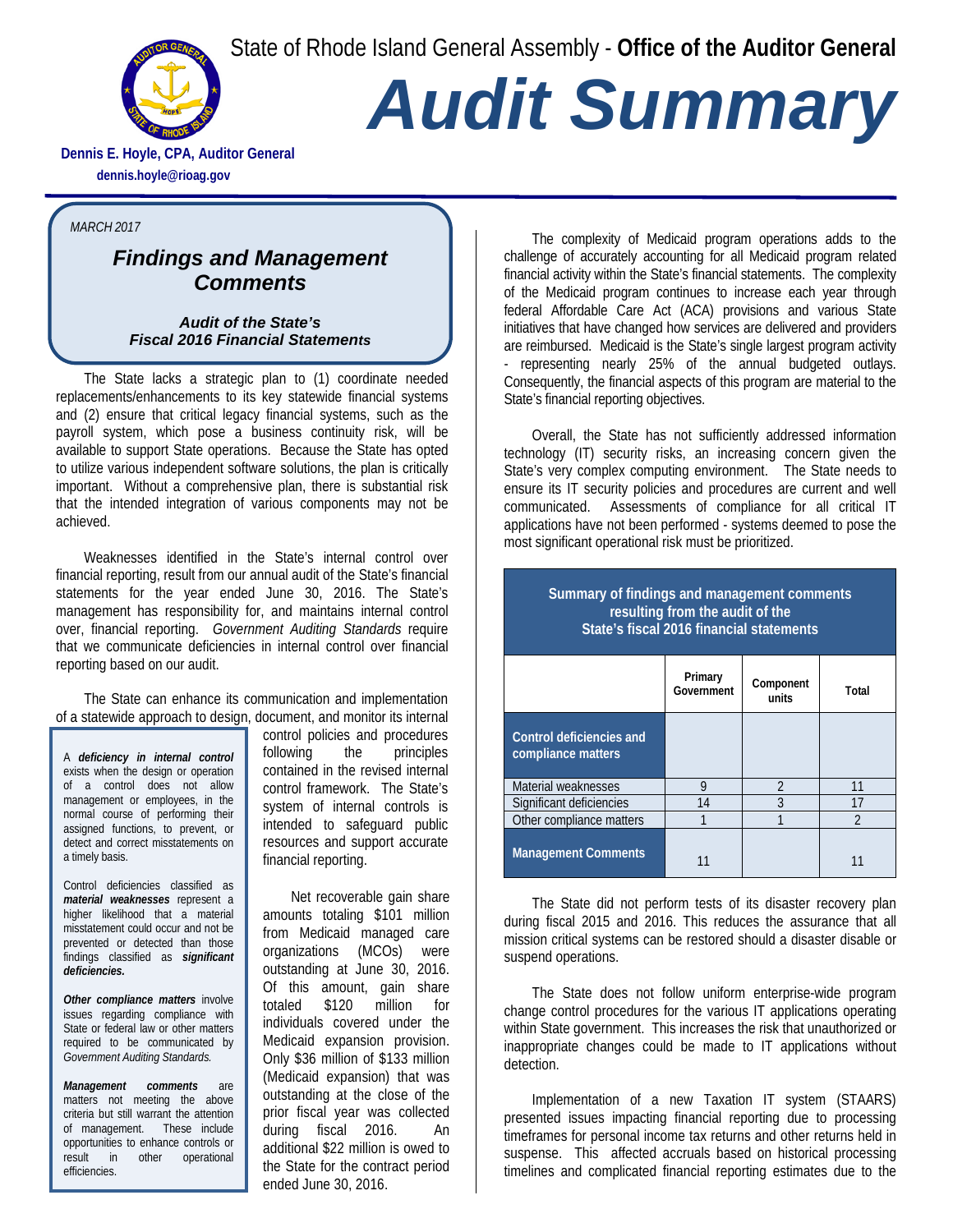State of Rhode Island General Assembly - **Office of the Auditor General**



## *Audit Summary*

**Dennis E. Hoyle, CPA, Auditor General dennis.hoyle@rioag.gov**

## *MARCH 2017*

## *Findings and Management Comments*

*Audit of the State's Fiscal 2016 Financial Statements* 

The State lacks a strategic plan to (1) coordinate needed replacements/enhancements to its key statewide financial systems and (2) ensure that critical legacy financial systems, such as the payroll system, which pose a business continuity risk, will be available to support State operations. Because the State has opted to utilize various independent software solutions, the plan is critically important. Without a comprehensive plan, there is substantial risk that the intended integration of various components may not be achieved.

Weaknesses identified in the State's internal control over financial reporting, result from our annual audit of the State's financial statements for the year ended June 30, 2016. The State's management has responsibility for, and maintains internal control over, financial reporting. *Government Auditing Standards* require that we communicate deficiencies in internal control over financial reporting based on our audit.

The State can enhance its communication and implementation of a statewide approach to design, document, and monitor its internal

A *deficiency in internal control* exists when the design or operation of a control does not allow management or employees, in the normal course of performing their assigned functions, to prevent, or detect and correct misstatements on a timely basis.

Control deficiencies classified as *material weaknesses* represent a higher likelihood that a material misstatement could occur and not be prevented or detected than those findings classified as *significant deficiencies.*

*Other compliance matters* involve issues regarding compliance with State or federal law or other matters required to be communicated by *Government Auditing Standards.*

*Management comments* are matters not meeting the above criteria but still warrant the attention of management. These include opportunities to enhance controls or result in other operational efficiencies.

control policies and procedures following the principles contained in the revised internal control framework. The State's system of internal controls is intended to safeguard public resources and support accurate financial reporting.

Net recoverable gain share amounts totaling \$101 million from Medicaid managed care organizations (MCOs) were outstanding at June 30, 2016. Of this amount, gain share totaled \$120 million for individuals covered under the Medicaid expansion provision. Only \$36 million of \$133 million (Medicaid expansion) that was outstanding at the close of the prior fiscal year was collected during fiscal 2016. An additional \$22 million is owed to the State for the contract period ended June 30, 2016.

The complexity of Medicaid program operations adds to the challenge of accurately accounting for all Medicaid program related financial activity within the State's financial statements. The complexity of the Medicaid program continues to increase each year through federal Affordable Care Act (ACA) provisions and various State initiatives that have changed how services are delivered and providers are reimbursed. Medicaid is the State's single largest program activity - representing nearly 25% of the annual budgeted outlays. Consequently, the financial aspects of this program are material to the State's financial reporting objectives.

Overall, the State has not sufficiently addressed information technology (IT) security risks, an increasing concern given the State's very complex computing environment. The State needs to ensure its IT security policies and procedures are current and well communicated. Assessments of compliance for all critical IT applications have not been performed - systems deemed to pose the most significant operational risk must be prioritized.

## **Summary of findings and management comments resulting from the audit of the State's fiscal 2016 financial statements**

|                                                | Primary<br>Government | Component<br>units | Total |
|------------------------------------------------|-----------------------|--------------------|-------|
| Control deficiencies and<br>compliance matters |                       |                    |       |
| Material weaknesses                            | 9                     | $\mathfrak{D}$     | 11    |
| Significant deficiencies                       | 14                    | 3                  | 17    |
| Other compliance matters                       |                       |                    | ി     |
| <b>Management Comments</b>                     |                       |                    |       |

The State did not perform tests of its disaster recovery plan during fiscal 2015 and 2016. This reduces the assurance that all mission critical systems can be restored should a disaster disable or suspend operations.

The State does not follow uniform enterprise-wide program change control procedures for the various IT applications operating within State government. This increases the risk that unauthorized or inappropriate changes could be made to IT applications without detection.

Implementation of a new Taxation IT system (STAARS) presented issues impacting financial reporting due to processing timeframes for personal income tax returns and other returns held in suspense. This affected accruals based on historical processing timelines and complicated financial reporting estimates due to the